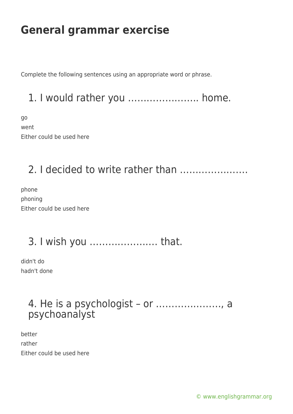# **General grammar exercise**

Complete the following sentences using an appropriate word or phrase.

1. I would rather you ………………….. home.

go went Either could be used here

#### 2. I decided to write rather than ………………….

phone phoning Either could be used here

### 3. I wish you …………………. that.

didn't do hadn't done

#### 4. He is a psychologist – or …………………, a psychoanalyst

better rather Either could be used here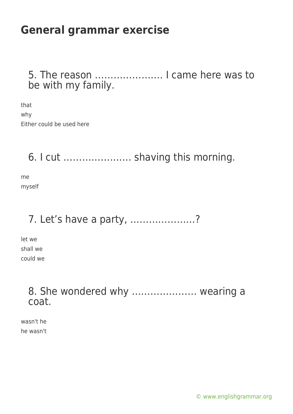# **General grammar exercise**

5. The reason …………………. I came here was to be with my family.

that why Either could be used here

6. I cut …………………. shaving this morning.

me myself

### 7. Let's have a party, …………………?

let we shall we could we

> 8. She wondered why ………………… wearing a coat.

wasn't he he wasn't

[© www.englishgrammar.org](https://www.englishgrammar.org/)